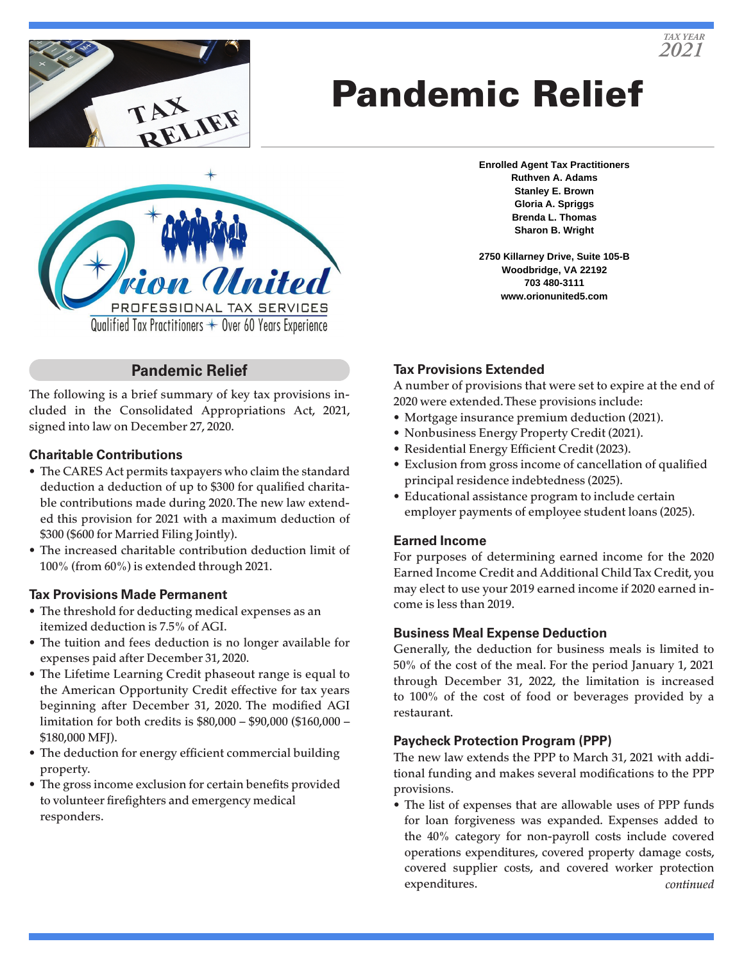

# Pandemic Relief



# **Pandemic Relief**

The following is a brief summary of key tax provisions included in the Consolidated Appropriations Act, 2021, signed into law on December 27, 2020.

## **Charitable Contributions**

- The CARES Act permits taxpayers who claim the standard deduction a deduction of up to \$300 for qualified charitable contributions made during 2020. The new law extended this provision for 2021 with a maximum deduction of \$300 (\$600 for Married Filing Jointly).
- The increased charitable contribution deduction limit of 100% (from 60%) is extended through 2021.

## **Tax Provisions Made Permanent**

- The threshold for deducting medical expenses as an itemized deduction is 7.5% of AGI.
- The tuition and fees deduction is no longer available for expenses paid after December 31, 2020.
- The Lifetime Learning Credit phaseout range is equal to the American Opportunity Credit effective for tax years beginning after December 31, 2020. The modified AGI limitation for both credits is \$80,000 – \$90,000 (\$160,000 – \$180,000 MFJ).
- The deduction for energy efficient commercial building property.
- The gross income exclusion for certain benefits provided to volunteer firefighters and emergency medical responders.

**Enrolled Agent Tax Practitioners Ruthven A. Adams Stanley E. Brown Gloria A. Spriggs Brenda L. Thomas Sharon B. Wright**

**2750 Killarney Drive, Suite 105-B Woodbridge, VA 22192 703 480-3111 www.orionunited5.com**

## **Tax Provisions Extended**

A number of provisions that were set to expire at the end of 2020 were extended. These provisions include:

- Mortgage insurance premium deduction (2021).
- Nonbusiness Energy Property Credit (2021).
- Residential Energy Efficient Credit (2023).
- Exclusion from gross income of cancellation of qualified principal residence indebtedness (2025).
- Educational assistance program to include certain employer payments of employee student loans (2025).

## **Earned Income**

For purposes of determining earned income for the 2020 Earned Income Credit and Additional Child Tax Credit, you may elect to use your 2019 earned income if 2020 earned income is less than 2019.

## **Business Meal Expense Deduction**

Generally, the deduction for business meals is limited to 50% of the cost of the meal. For the period January 1, 2021 through December 31, 2022, the limitation is increased to 100% of the cost of food or beverages provided by a restaurant.

## **Paycheck Protection Program (PPP)**

The new law extends the PPP to March 31, 2021 with additional funding and makes several modifications to the PPP provisions.

• The list of expenses that are allowable uses of PPP funds for loan forgiveness was expanded. Expenses added to the 40% category for non-payroll costs include covered operations expenditures, covered property damage costs, covered supplier costs, and covered worker protection expenditures. *continued*